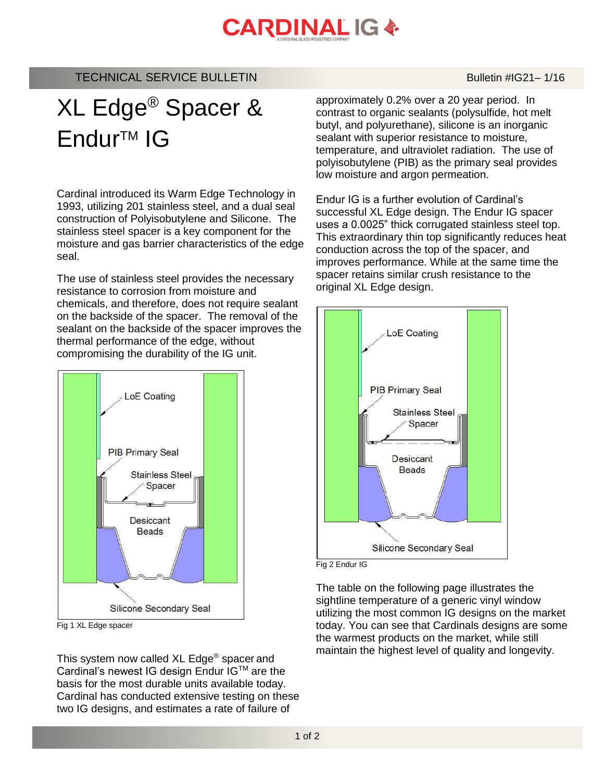## **CARDINAL IG &**

## TECHNICAL SERVICE BULLETIN BULLETIN Bulletin #IG21-1/16

## XL Edge® Spacer & Endur<sup>™</sup> IG

Cardinal introduced its Warm Edge Technology in 1993, utilizing 201 stainless steel, and a dual seal construction of Polyisobutylene and Silicone. The stainless steel spacer is a key component for the moisture and gas barrier characteristics of the edge seal.

The use of stainless steel provides the necessary resistance to corrosion from moisture and chemicals, and therefore, does not require sealant on the backside of the spacer. The removal of the sealant on the backside of the spacer improves the thermal performance of the edge, without compromising the durability of the IG unit.



Fig 1 XL Edge spacer

This system now called XL Edge® spacer and Cardinal's newest IG design Endur IG™ are the basis for the most durable units available today. Cardinal has conducted extensive testing on these two IG designs, and estimates a rate of failure of

approximately 0.2% over a 20 year period. In contrast to organic sealants (polysulfide, hot melt butyl, and polyurethane), silicone is an inorganic sealant with superior resistance to moisture, temperature, and ultraviolet radiation. The use of polyisobutylene (PIB) as the primary seal provides low moisture and argon permeation.

Endur IG is a further evolution of Cardinal's successful XL Edge design. The Endur IG spacer uses a 0.0025" thick corrugated stainless steel top. This extraordinary thin top significantly reduces heat conduction across the top of the spacer, and improves performance. While at the same time the spacer retains similar crush resistance to the original XL Edge design.





The table on the following page illustrates the sightline temperature of a generic vinyl window utilizing the most common IG designs on the market today. You can see that Cardinals designs are some the warmest products on the market, while still maintain the highest level of quality and longevity.